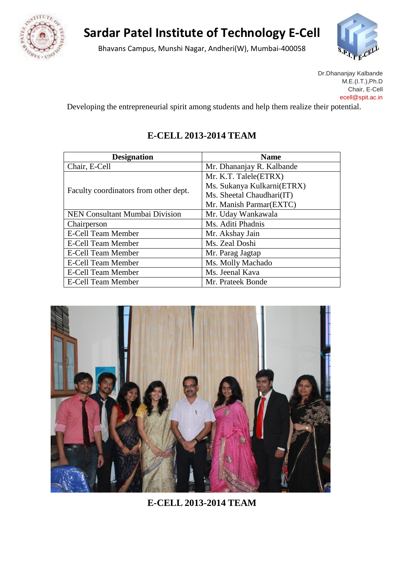

## **Sardar Patel Institute of Technology E-Cell**

Bhavans Campus, Munshi Nagar, Andheri(W), Mumbai-400058



Dr.Dhananjay Kalbande M.E.(I.T.),Ph.D Chair, E-Cell ece[ll@spit.ac.in](mailto:drkalbande@spit.ac.in)

Developing the entrepreneurial spirit among students and help them realize their potential.

### **E-CELL 2013-2014 TEAM**

| <b>Designation</b>                    | <b>Name</b>                |
|---------------------------------------|----------------------------|
| Chair, E-Cell                         | Mr. Dhananjay R. Kalbande  |
| Faculty coordinators from other dept. | Mr. K.T. Talele(ETRX)      |
|                                       | Ms. Sukanya Kulkarni(ETRX) |
|                                       | Ms. Sheetal Chaudhari (IT) |
|                                       | Mr. Manish Parmar(EXTC)    |
| <b>NEN Consultant Mumbai Division</b> | Mr. Uday Wankawala         |
| Chairperson                           | Ms. Aditi Phadnis          |
| <b>E-Cell Team Member</b>             | Mr. Akshay Jain            |
| E-Cell Team Member                    | Ms. Zeal Doshi             |
| E-Cell Team Member                    | Mr. Parag Jagtap           |
| E-Cell Team Member                    | Ms. Molly Machado          |
| E-Cell Team Member                    | Ms. Jeenal Kava            |
| <b>E-Cell Team Member</b>             | Mr. Prateek Bonde          |



**E-CELL 2013-2014 TEAM**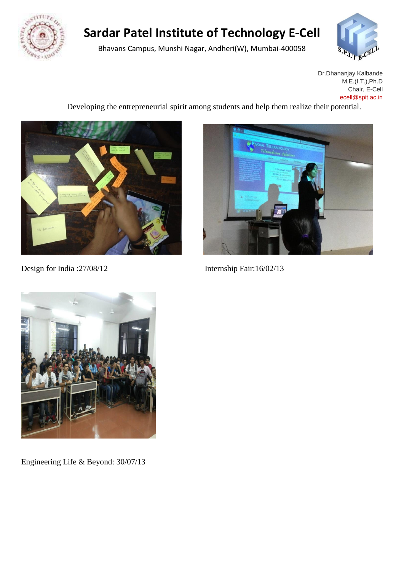

# **Sardar Patel Institute of Technology E-Cell**

Bhavans Campus, Munshi Nagar, Andheri(W), Mumbai-400058



Dr.Dhananjay Kalbande M.E.(I.T.),Ph.D Chair, E-Cell ece[ll@spit.ac.in](mailto:drkalbande@spit.ac.in)

Developing the entrepreneurial spirit among students and help them realize their potential.





Design for India :27/08/12 Internship Fair:16/02/13



Engineering Life & Beyond: 30/07/13